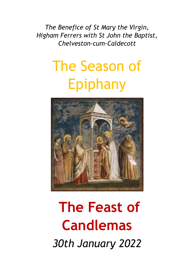*The Benefice of St Mary the Virgin, Higham Ferrers with St John the Baptist, Chelveston-cum-Caldecott*

# The Season of Epiphany



# **The Feast of Candlemas** *30th January 2022*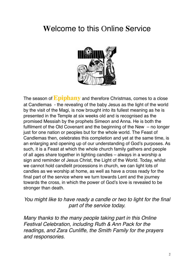# **W**elcome to this Online **S**ervice



The season of **Epiphany** and therefore Christmas, comes to a close at Candlemas - the revealing of the baby Jesus as the light of the world by the visit of the Magi, is now brought into its fullest meaning as he is presented in the Temple at six weeks old and is recognised as the promised Messiah by the prophets Simeon and Anna. He is both the fulfilment of the Old Covenant and the beginning of the New – no longer just for one nation or peoples but for the whole world. The Feast of Candlemas then, celebrates this completion and yet at the same time, is an enlarging and opening up of our understanding of God's purposes. As such, it is a Feast at which the whole church family gathers and people of all ages share together in lighting candles – always in a worship a sign and reminder of Jesus Christ, the Light of the World. Today, whilst we cannot hold candlelit processions in church, we can light lots of candles as we worship at home, as well as have a cross ready for the final part of the service where we turn towards Lent and the journey towards the cross, in which the power of God's love is revealed to be stronger than death.

#### *You might like to have ready a candle or two to light for the final part of the service today.*

*Many thanks to the many people taking part in this Online Festival Celebration, including Ruth & Ann Pack for the readings, and Zara Cunliffe, the Smith Family for the prayers and responsories.*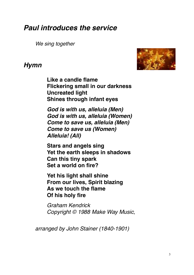# *Paul introduces the service*

*We sing together*

### *Hymn*



**Like a candle flame Flickering small in our darkness Uncreated light Shines through infant eyes**

*God is with us, alleluia (Men) God is with us, alleluia (Women) Come to save us, alleluia (Men) Come to save us (Women) Alleluia! (All)*

**Stars and angels sing Yet the earth sleeps in shadows Can this tiny spark Set a world on fire?**

**Yet his light shall shine From our lives, Spirit blazing As we touch the flame Of his holy fire**

*Graham Kendrick Copyright © 1988 Make Way Music,*

*arranged by John Stainer (1840-1901)*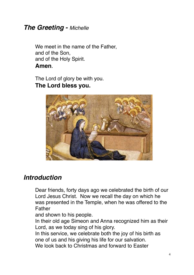## *The Greeting - Michelle*

We meet in the name of the Father, and of the Son, and of the Holy Spirit. **Amen**.

The Lord of glory be with you. **The Lord bless you.**



### *Introduction*

Dear friends, forty days ago we celebrated the birth of our Lord Jesus Christ. Now we recall the day on which he was presented in the Temple, when he was offered to the Father

and shown to his people.

In their old age Simeon and Anna recognized him as their Lord, as we today sing of his glory.

In this service, we celebrate both the joy of his birth as one of us and his giving his life for our salvation.

We look back to Christmas and forward to Easter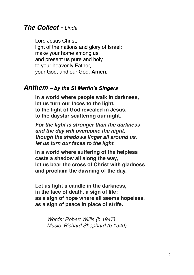#### *The Collect - Linda*

Lord Jesus Christ, light of the nations and glory of Israel: make your home among us, and present us pure and holy to your heavenly Father, your God, and our God. **Amen.**

#### *Anthem – by the St Martin's Singers*

**In a world where people walk in darkness, let us turn our faces to the light, to the light of God revealed in Jesus, to the daystar scattering our night.**

*For the light is stronger than the darkness and the day will overcome the night, though the shadows linger all around us, let us turn our faces to the light.*

**In a world where suffering of the helpless casts a shadow all along the way, let us bear the cross of Christ with gladness and proclaim the dawning of the day.**

**Let us light a candle in the darkness, in the face of death, a sign of life; as a sign of hope where all seems hopeless, as a sign of peace in place of strife.**

> *Words: Robert Willis (b.1947) Music: Richard Shephard (b.1949)*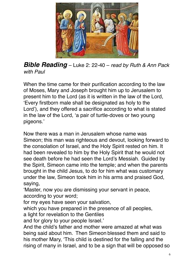

*Bible Reading* – Luke 2: 22-40 – *read by Ruth & Ann Pack with Paul*

When the time came for their purification according to the law of Moses, Mary and Joseph brought him up to Jerusalem to present him to the Lord (as it is written in the law of the Lord, 'Every firstborn male shall be designated as holy to the Lord'), and they offered a sacrifice according to what is stated in the law of the Lord, 'a pair of turtle-doves or two young pigeons.'

Now there was a man in Jerusalem whose name was Simeon; this man was righteous and devout, looking forward to the consolation of Israel, and the Holy Spirit rested on him. It had been revealed to him by the Holy Spirit that he would not see death before he had seen the Lord's Messiah. Guided by the Spirit, Simeon came into the temple; and when the parents brought in the child Jesus, to do for him what was customary under the law, Simeon took him in his arms and praised God, saying,

'Master, now you are dismissing your servant in peace, according to your word;

for my eyes have seen your salvation,

which you have prepared in the presence of all peoples,

a light for revelation to the Gentiles

and for glory to your people Israel.'

And the child's father and mother were amazed at what was being said about him. Then Simeon blessed them and said to his mother Mary, 'This child is destined for the falling and the rising of many in Israel, and to be a sign that will be opposed so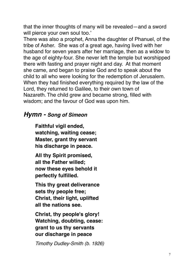that the inner thoughts of many will be revealed—and a sword will pierce your own soul too.'

There was also a prophet, Anna the daughter of Phanuel, of the tribe of Asher. She was of a great age, having lived with her husband for seven years after her marriage, then as a widow to the age of eighty-four. She never left the temple but worshipped there with fasting and prayer night and day. At that moment she came, and began to praise God and to speak about the child to all who were looking for the redemption of Jerusalem. When they had finished everything required by the law of the Lord, they returned to Galilee, to their own town of Nazareth. The child grew and became strong, filled with wisdom; and the favour of God was upon him.

#### *Hymn - Song of Simeon*

**Faithful vigil ended, watching, waiting cease; Master, grant thy servant his discharge in peace.**

**All thy Spirit promised, all the Father willed; now these eyes behold it perfectly fulfilled.**

**This thy great deliverance sets thy people free; Christ, their light, uplifted all the nations see.**

**Christ, thy people's glory! Watching, doubting, cease: grant to us thy servants our discharge in peace**

*Timothy Dudley-Smith (b. 1926)*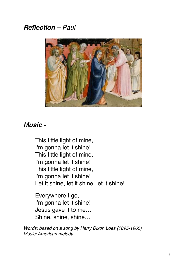# *Reflection – Paul*



## *Music -*

 This little light of mine, I'm gonna let it shine! This little light of mine, I'm gonna let it shine! This little light of mine, I'm gonna let it shine! Let it shine, let it shine, let it shine!.......

 Everywhere I go, I'm gonna let it shine! Jesus gave it to me… Shine, shine, shine…

*Words: based on a song by Harry Dixon Loes (1895-1965) Music: American melody*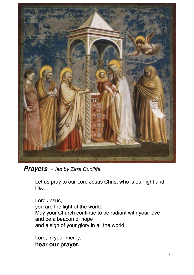

*Prayers - led by Zara Cunliffe*

Let us pray to our Lord Jesus Christ who is our light and life.

Lord Jesus, you are the light of the world. May your Church continue to be radiant with your love and be a beacon of hope and a sign of your glory in all the world.

Lord, in your mercy, **hear our prayer.**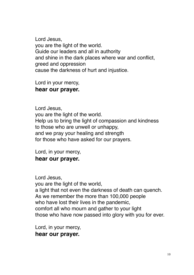Lord Jesus, you are the light of the world. Guide our leaders and all in authority and shine in the dark places where war and conflict, greed and oppression cause the darkness of hurt and injustice.

Lord in your mercy, **hear our prayer.**

Lord Jesus, you are the light of the world. Help us to bring the light of compassion and kindness to those who are unwell or unhappy, and we pray your healing and strength for those who have asked for our prayers.

Lord, in your mercy,

**hear our prayer.**

Lord Jesus, you are the light of the world, a light that not even the darkness of death can quench. As we remember the more than 100,000 people who have lost their lives in the pandemic, comfort all who mourn and gather to your light those who have now passed into glory with you for ever.

Lord, in your mercy, **hear our prayer.**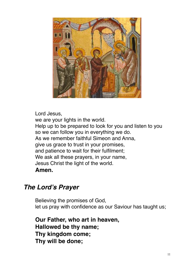

Lord Jesus,

we are your lights in the world.

Help up to be prepared to look for you and listen to you so we can follow you in everything we do. As we remember faithful Simeon and Anna, give us grace to trust in your promises, and patience to wait for their fulfilment; We ask all these prayers, in your name, Jesus Christ the light of the world.

**Amen.**

# *The Lord's Prayer*

Believing the promises of God, let us pray with confidence as our Saviour has taught us;

**Our Father, who art in heaven, Hallowed be thy name; Thy kingdom come; Thy will be done;**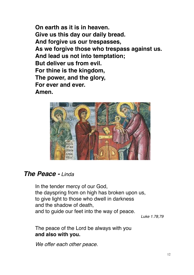**On earth as it is in heaven. Give us this day our daily bread. And forgive us our trespasses, As we forgive those who trespass against us. And lead us not into temptation; But deliver us from evil. For thine is the kingdom, The power, and the glory, For ever and ever. Amen.**



### *The Peace - Linda*

In the tender mercy of our God, the dayspring from on high has broken upon us, to give light to those who dwell in darkness and the shadow of death, and to guide our feet into the way of peace.

*Luke 1.78,79*

The peace of the Lord be always with you **and also with you.**

*We offer each other peace.*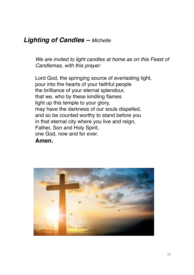## *Lighting of Candles – Michelle*

*We are invited to light candles at home as on this Feast of Candlemas, with this prayer:*

Lord God, the springing source of everlasting light, pour into the hearts of your faithful people the brilliance of your eternal splendour, that we, who by these kindling flames light up this temple to your glory, may have the darkness of our souls dispelled, and so be counted worthy to stand before you in that eternal city where you live and reign, Father, Son and Holy Spirit, one God, now and for ever. **Amen.**

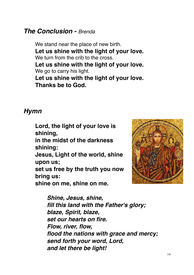# *The Conclusion - Brenda*

We stand near the place of new birth. **Let us shine with the light of your love.** We turn from the crib to the cross. **Let us shine with the light of your love.** We go to carry his light. **Let us shine with the light of your love. Thanks be to God.**

# *Hymn*

**Lord, the light of your love is shining,**

**in the midst of the darkness shining:**

**Jesus, Light of the world, shine upon us;**

**set us free by the truth you now bring us:**

**shine on me, shine on me.**



*Shine, Jesus, shine, fill this land with the Father's glory; blaze, Spirit, blaze, set our hearts on fire. Flow, river, flow, flood the nations with grace and mercy; send forth your word, Lord, and let there be light!*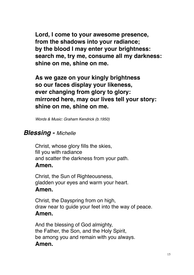**Lord, I come to your awesome presence, from the shadows into your radiance; by the blood I may enter your brightness: search me, try me, consume all my darkness: shine on me, shine on me.**

**As we gaze on your kingly brightness so our faces display your likeness, ever changing from glory to glory: mirrored here, may our lives tell your story: shine on me, shine on me.**

*Words & Music: Graham Kendrick (b.1950)*

## *Blessing - Michelle*

Christ, whose glory fills the skies, fill you with radiance and scatter the darkness from your path.

#### **Amen.**

Christ, the Sun of Righteousness, gladden your eyes and warm your heart. **Amen.**

Christ, the Dayspring from on high, draw near to guide your feet into the way of peace. **Amen.**

And the blessing of God almighty, the Father, the Son, and the Holy Spirit, be among you and remain with you always. **Amen.**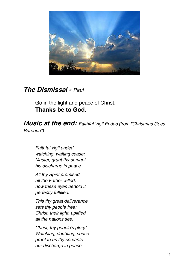

# *The Dismissal - Paul*

Go in the light and peace of Christ. **Thanks be to God.**

*Music at the end: Faithful Vigil Ended (from "Christmas Goes Baroque")*

*Faithful vigil ended, watching, waiting cease; Master, grant thy servant his discharge in peace.*

*All thy Spirit promised, all the Father willed; now these eyes behold it perfectly fulfilled.*

*This thy great deliverance sets thy people free; Christ, their light, uplifted all the nations see.*

*Christ, thy people's glory! Watching, doubting, cease: grant to us thy servants our discharge in peace*